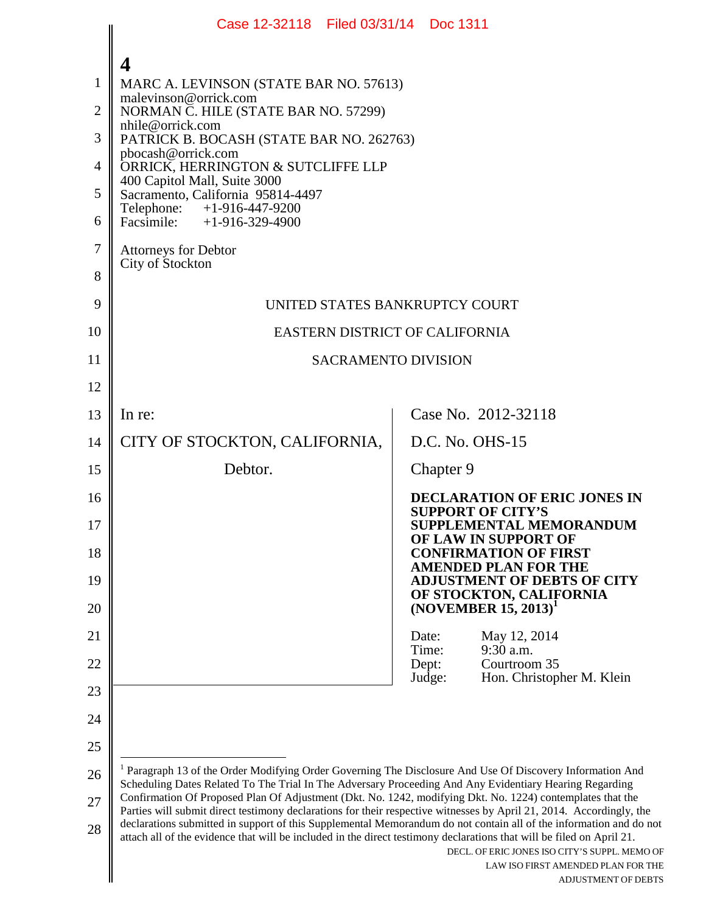<span id="page-0-0"></span>

|                                              | Case 12-32118 Filed 03/31/14 Doc 1311                                                                                                                                                                                                                                                                                                                                                                                                                                             |                |           |                                                                             |
|----------------------------------------------|-----------------------------------------------------------------------------------------------------------------------------------------------------------------------------------------------------------------------------------------------------------------------------------------------------------------------------------------------------------------------------------------------------------------------------------------------------------------------------------|----------------|-----------|-----------------------------------------------------------------------------|
| 1<br>$\overline{2}$<br>3<br>4<br>5<br>6<br>7 | 4<br>MARC A. LEVINSON (STATE BAR NO. 57613)<br>malevinson@orrick.com<br>NORMAN C. HILE (STATE BAR NO. 57299)<br>nhile@orrick.com<br>PATRICK B. BOCASH (STATE BAR NO. 262763)<br>pbocash@orrick.com<br>ORRICK, HERRINGTON & SUTCLIFFE LLP<br>400 Capitol Mall, Suite 3000<br>Sacramento, California 95814-4497<br>Telephone: +1-916-447-9200<br>Facsimile: $+1-916-329-4900$<br><b>Attorneys for Debtor</b><br>City of Stockton                                                    |                |           |                                                                             |
| 8                                            |                                                                                                                                                                                                                                                                                                                                                                                                                                                                                   |                |           |                                                                             |
| 9<br>10                                      | UNITED STATES BANKRUPTCY COURT<br>EASTERN DISTRICT OF CALIFORNIA                                                                                                                                                                                                                                                                                                                                                                                                                  |                |           |                                                                             |
| 11                                           | <b>SACRAMENTO DIVISION</b>                                                                                                                                                                                                                                                                                                                                                                                                                                                        |                |           |                                                                             |
| 12                                           |                                                                                                                                                                                                                                                                                                                                                                                                                                                                                   |                |           |                                                                             |
| 13                                           | In re:                                                                                                                                                                                                                                                                                                                                                                                                                                                                            |                |           | Case No. 2012-32118                                                         |
| 14                                           | CITY OF STOCKTON, CALIFORNIA,                                                                                                                                                                                                                                                                                                                                                                                                                                                     |                |           | $D.C. No. OHS-15$                                                           |
| 15                                           | Debtor.                                                                                                                                                                                                                                                                                                                                                                                                                                                                           |                | Chapter 9 |                                                                             |
| 16                                           |                                                                                                                                                                                                                                                                                                                                                                                                                                                                                   |                |           | DECLARATION OF ERIC JONES IN                                                |
| 17                                           |                                                                                                                                                                                                                                                                                                                                                                                                                                                                                   |                |           | <b>SUPPORT OF CITY'S</b><br>SUPPLEMENTAL MEMORANDUM<br>OF LAW IN SUPPORT OF |
| 18                                           |                                                                                                                                                                                                                                                                                                                                                                                                                                                                                   |                |           | <b>CONFIRMATION OF FIRST</b><br><b>AMENDED PLAN FOR THE</b>                 |
| 19                                           |                                                                                                                                                                                                                                                                                                                                                                                                                                                                                   |                |           | <b>ADJUSTMENT OF DEBTS OF CITY</b><br>OF STOCKTON, CALIFORNIA               |
| 20                                           |                                                                                                                                                                                                                                                                                                                                                                                                                                                                                   |                |           | $(NOVEMBER 15, 2013)^T$                                                     |
| 21                                           |                                                                                                                                                                                                                                                                                                                                                                                                                                                                                   | Date:<br>Time: |           | May 12, 2014<br>9:30 a.m.                                                   |
| 22                                           |                                                                                                                                                                                                                                                                                                                                                                                                                                                                                   | Dept:          | Judge:    | Courtroom 35<br>Hon. Christopher M. Klein                                   |
| 23                                           |                                                                                                                                                                                                                                                                                                                                                                                                                                                                                   |                |           |                                                                             |
| 24                                           |                                                                                                                                                                                                                                                                                                                                                                                                                                                                                   |                |           |                                                                             |
| 25                                           |                                                                                                                                                                                                                                                                                                                                                                                                                                                                                   |                |           |                                                                             |
| 26                                           | <sup>1</sup> Paragraph 13 of the Order Modifying Order Governing The Disclosure And Use Of Discovery Information And<br>Scheduling Dates Related To The Trial In The Adversary Proceeding And Any Evidentiary Hearing Regarding<br>Confirmation Of Proposed Plan Of Adjustment (Dkt. No. 1242, modifying Dkt. No. 1224) contemplates that the                                                                                                                                     |                |           |                                                                             |
| 27<br>28                                     | Parties will submit direct testimony declarations for their respective witnesses by April 21, 2014. Accordingly, the<br>declarations submitted in support of this Supplemental Memorandum do not contain all of the information and do not<br>attach all of the evidence that will be included in the direct testimony declarations that will be filed on April 21.<br>DECL. OF ERIC JONES ISO CITY'S SUPPL. MEMO OF<br>LAW ISO FIRST AMENDED PLAN FOR THE<br>ADJUSTMENT OF DEBTS |                |           |                                                                             |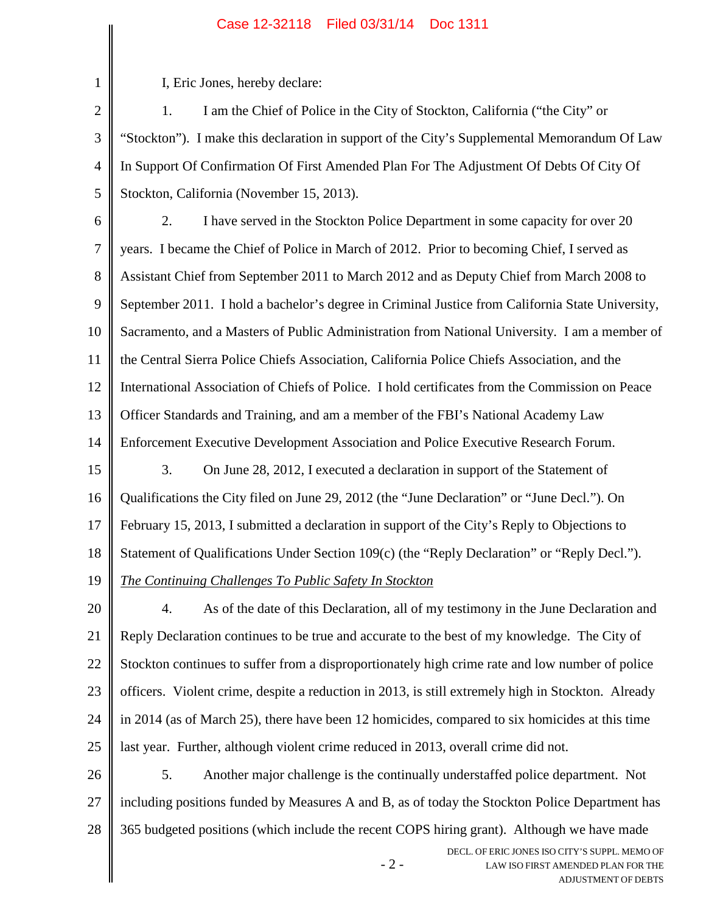## Case 12-32118 Filed 03/31/14 Doc 1311

I, Eric Jones, hereby declare:

1

2 3 4 5 1. I am the Chief of Police in the City of Stockton, California ("the City" or "Stockton"). I make this declaration in support of the City's Supplemental Memorandum Of Law In Support Of Confirmation Of First Amended Plan For The Adjustment Of Debts Of City Of Stockton, California (November 15, 2013).

6 7 8 9 10 11 12 13 14 15 16 17 2. I have served in the Stockton Police Department in some capacity for over 20 years. I became the Chief of Police in March of 2012. Prior to becoming Chief, I served as Assistant Chief from September 2011 to March 2012 and as Deputy Chief from March 2008 to September 2011. I hold a bachelor's degree in Criminal Justice from California State University, Sacramento, and a Masters of Public Administration from National University. I am a member of the Central Sierra Police Chiefs Association, California Police Chiefs Association, and the International Association of Chiefs of Police. I hold certificates from the Commission on Peace Officer Standards and Training, and am a member of the FBI's National Academy Law Enforcement Executive Development Association and Police Executive Research Forum. 3. On June 28, 2012, I executed a declaration in support of the Statement of Qualifications the City filed on June 29, 2012 (the "June Declaration" or "June Decl."). On February 15, 2013, I submitted a declaration in support of the City's Reply to Objections to

18 Statement of Qualifications Under Section 109(c) (the "Reply Declaration" or "Reply Decl.").

19 *The Continuing Challenges To Public Safety In Stockton*

20 21 22 23 24 25 4. As of the date of this Declaration, all of my testimony in the June Declaration and Reply Declaration continues to be true and accurate to the best of my knowledge. The City of Stockton continues to suffer from a disproportionately high crime rate and low number of police officers. Violent crime, despite a reduction in 2013, is still extremely high in Stockton. Already in 2014 (as of March 25), there have been 12 homicides, compared to six homicides at this time last year. Further, although violent crime reduced in 2013, overall crime did not.

26 27 28 5. Another major challenge is the continually understaffed police department. Not including positions funded by Measures A and B, as of today the Stockton Police Department has 365 budgeted positions (which include the recent COPS hiring grant). Although we have made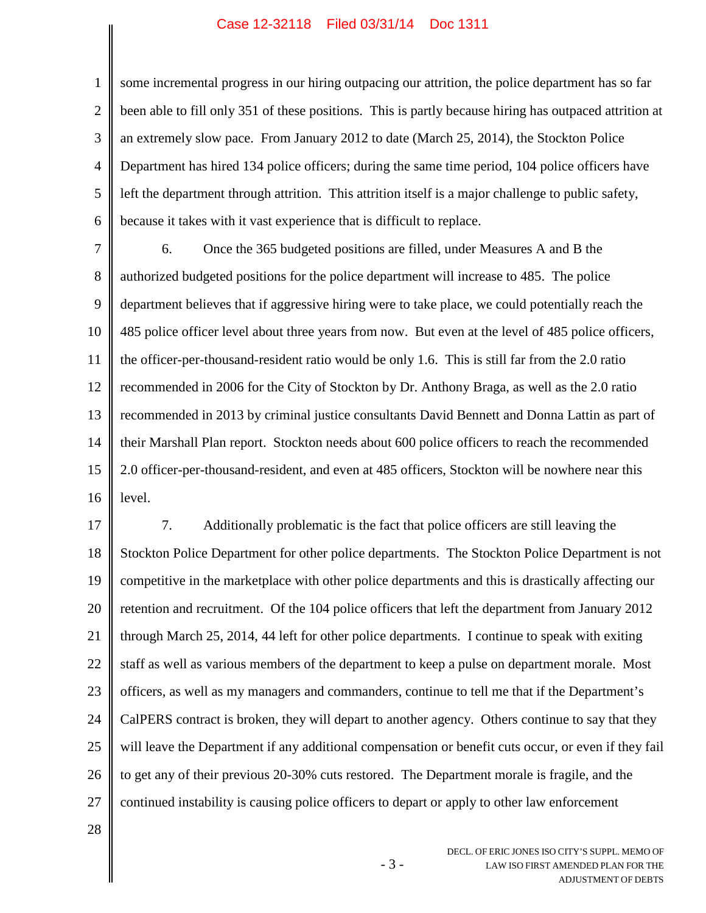## Case 12-32118 Filed 03/31/14 Doc 1311

1 2 3 4 5 6 some incremental progress in our hiring outpacing our attrition, the police department has so far been able to fill only 351 of these positions. This is partly because hiring has outpaced attrition at an extremely slow pace. From January 2012 to date (March 25, 2014), the Stockton Police Department has hired 134 police officers; during the same time period, 104 police officers have left the department through attrition. This attrition itself is a major challenge to public safety, because it takes with it vast experience that is difficult to replace.

7 8 9 10 11 12 13 14 15 16 6. Once the 365 budgeted positions are filled, under Measures A and B the authorized budgeted positions for the police department will increase to 485. The police department believes that if aggressive hiring were to take place, we could potentially reach the 485 police officer level about three years from now. But even at the level of 485 police officers, the officer-per-thousand-resident ratio would be only 1.6. This is still far from the 2.0 ratio recommended in 2006 for the City of Stockton by Dr. Anthony Braga, as well as the 2.0 ratio recommended in 2013 by criminal justice consultants David Bennett and Donna Lattin as part of their Marshall Plan report. Stockton needs about 600 police officers to reach the recommended 2.0 officer-per-thousand-resident, and even at 485 officers, Stockton will be nowhere near this level.

17 18 19 20 21 22 23 24 25 26 27 7. Additionally problematic is the fact that police officers are still leaving the Stockton Police Department for other police departments. The Stockton Police Department is not competitive in the marketplace with other police departments and this is drastically affecting our retention and recruitment. Of the 104 police officers that left the department from January 2012 through March 25, 2014, 44 left for other police departments. I continue to speak with exiting staff as well as various members of the department to keep a pulse on department morale. Most officers, as well as my managers and commanders, continue to tell me that if the Department's CalPERS contract is broken, they will depart to another agency. Others continue to say that they will leave the Department if any additional compensation or benefit cuts occur, or even if they fail to get any of their previous 20-30% cuts restored. The Department morale is fragile, and the continued instability is causing police officers to depart or apply to other law enforcement

- 3 -

28